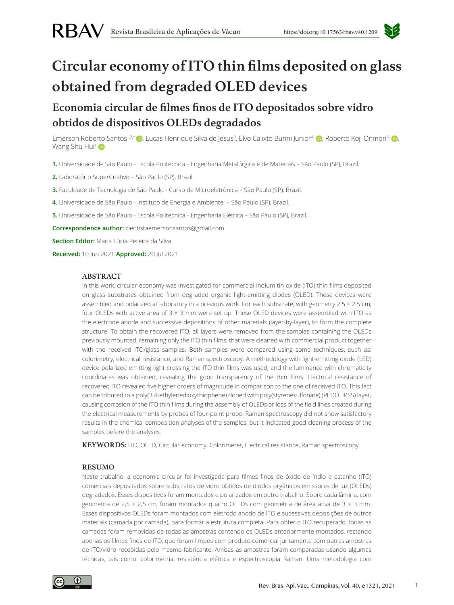

# **Circular economy of ITO thin films deposited on glass obtained from degraded OLED devices**

# **Economia circular de filmes finos de ITO depositados sobre vidro obtidos de dispositivos OLEDs degradados**

Emerson Roberto Santos1.2\*⊙, Lucas Henrique Silva de Jesus<sup>3</sup>, Elvo Calixto Burini Junior<sup>4</sup> ⊙, Roberto Koji Onmori<sup>5</sup> ⊙, Wang Shu Hui<sup>1</sup>

**1.** Universidade de São Paulo - Escola Politecnica - Engenharia Metalúrgica e de Materiais – São Paulo (SP), Brazil.

**2.** Laboratório SuperCriativo – São Paulo (SP), Brazil.

**3.** Faculdade de Tecnologia de São Paulo - Curso de Microeletrônica – São Paulo (SP), Brazil.

**4.** Universidade de São Paulo - Instituto de Energia e Ambiente – São Paulo (SP), Brazil.

**5.** Universidade de São Paulo - Escola Politecnica - Engenharia Elétrica – São Paulo (SP), Brazil.

**Correspondence author:** cientistaemersonsantos@gmail.com

**Section Editor:** Maria Lúcia Pereira da Silva

**Received:** 10 Jun 2021 **Approved:** 20 Jul 2021

#### **ABSTRACT**

In this work, circular economy was investigated for commercial indium tin oxide (ITO) thin films deposited on glass substrates obtained from degraded organic light-emitting diodes (OLED). These devices were assembled and polarized at laboratory in a previous work. For each substrate, with geometry 2.5 × 2.5 cm, four OLEDs with active area of  $3 \times 3$  mm were set up. These OLED devices were assembled with ITO as the electrode anode and successive depositions of other materials (layer-by-layer), to form the complete structure. To obtain the recovered ITO, all layers were removed from the samples containing the OLEDs previously mounted, remaining only the ITO thin films, that were cleaned with commercial product together with the received ITO/glass samples. Both samples were compared using some techniques, such as: colorimetry, electrical resistance, and Raman spectroscopy. A methodology with light-emitting diode (LED) device polarized emitting light crossing the ITO thin films was used, and the luminance with chromaticity coordinates was obtained, revealing the good transparency of the thin films. Electrical resistance of recovered ITO revealed five higher orders of magnitude in comparison to the one of received ITO. This fact can be tributed to a poly(3,4-ethylenedioxythiophene) doped with poly(styrenesulfonate) (PEDOT:PSS) layer, causing corrosion of the ITO thin films during the assembly of OLEDs or loss of the field lines created during the electrical measurements by probes of four-point probe. Raman spectroscopy did not show satisfactory results in the chemical composition analyses of the samples, but it indicated good cleaning process of the samples before the analyses.

**KEYWORDS:** ITO, OLED, Circular economy, Colorimeter, Electrical resistance, Raman spectroscopy.

#### **RESUMO**

Neste trabalho, a economia circular foi investigada para filmes finos de óxido de índio e estanho (ITO) comerciais depositados sobre substratos de vidro obtidos de diodos orgânicos emissores de luz (OLEDs) degradados. Esses dispositivos foram montados e polarizados em outro trabalho. Sobre cada lâmina, com geometria de 2,5  $\times$  2,5 cm, foram montados quatro OLEDs com geometria de área ativa de 3  $\times$  3 mm. Esses dispositivos OLEDs foram montados com eletrodo anodo de ITO e sucessivas deposições de outros materiais (camada por camada), para formar a estrutura completa. Para obter o ITO recuperado, todas as camadas foram removidas de todas as amostras contendo os OLEDs anteriormente montados, restando apenas os filmes finos de ITO, que foram limpos com produto comercial juntamente com outras amostras de ITO/vidro recebidas pelo mesmo fabricante. Ambas as amostras foram comparadas usando algumas técnicas, tais como: colorimetria, resistência elétrica e espectroscopia Raman. Uma metodologia com

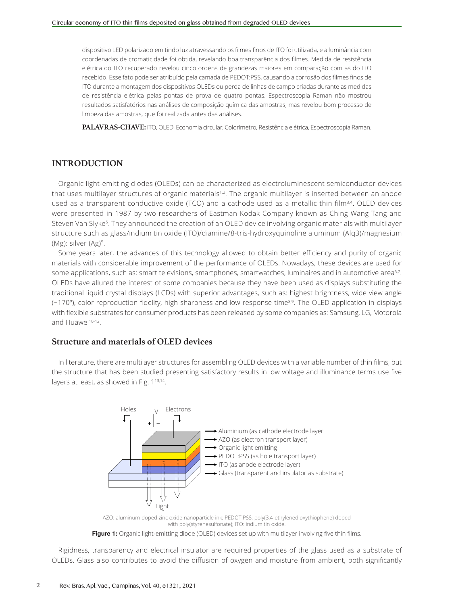dispositivo LED polarizado emitindo luz atravessando os filmes finos de ITO foi utilizada, e a luminância com coordenadas de cromaticidade foi obtida, revelando boa transparência dos filmes. Medida de resistência elétrica do ITO recuperado revelou cinco ordens de grandezas maiores em comparação com as do ITO recebido. Esse fato pode ser atribuído pela camada de PEDOT:PSS, causando a corrosão dos filmes finos de ITO durante a montagem dos dispositivos OLEDs ou perda de linhas de campo criadas durante as medidas de resistência elétrica pelas pontas de prova de quatro pontas. Espectroscopia Raman não mostrou resultados satisfatórios nas análises de composição química das amostras, mas revelou bom processo de limpeza das amostras, que foi realizada antes das análises.

**PALAVRAS-CHAVE:** ITO, OLED, Economia circular, Colorímetro, Resistência elétrica, Espectroscopia Raman.

#### **INTRODUCTION**

Organic light-emitting diodes (OLEDs) can be characterized as electroluminescent semiconductor devices that uses multilayer structures of organic materials<sup>1,2</sup>. The organic multilayer is inserted between an anode used as a transparent conductive oxide (TCO) and a cathode used as a metallic thin film<sup>3,4</sup>. OLED devices were presented in 1987 by two researchers of Eastman Kodak Company known as Ching Wang Tang and Steven Van Slyke5. They announced the creation of an OLED device involving organic materials with multilayer structure such as glass/indium tin oxide (ITO)/diamine/8-tris-hydroxyquinoline aluminum (Alq3)/magnesium (Mg): silver (Ag)5.

Some years later, the advances of this technology allowed to obtain better efficiency and purity of organic materials with considerable improvement of the performance of OLEDs. Nowadays, these devices are used for some applications, such as: smart televisions, smartphones, smartwatches, luminaires and in automotive area<sup>6,7</sup>. OLEDs have allured the interest of some companies because they have been used as displays substituting the traditional liquid crystal displays (LCDs) with superior advantages, such as: highest brightness, wide view angle (~170º), color reproduction fidelity, high sharpness and low response time8,9. The OLED application in displays with flexible substrates for consumer products has been released by some companies as: Samsung, LG, Motorola and Huawei<sup>10-12</sup>.

#### **Structure and materials of OLED devices**

In literature, there are multilayer structures for assembling OLED devices with a variable number of thin films, but the structure that has been studied presenting satisfactory results in low voltage and illuminance terms use five layers at least, as showed in Fig. 1<sup>13,14</sup>.





**Figure 1:** Organic light-emitting diode (OLED) devices set up with multilayer involving five thin films.

Rigidness, transparency and electrical insulator are required properties of the glass used as a substrate of OLEDs. Glass also contributes to avoid the diffusion of oxygen and moisture from ambient, both significantly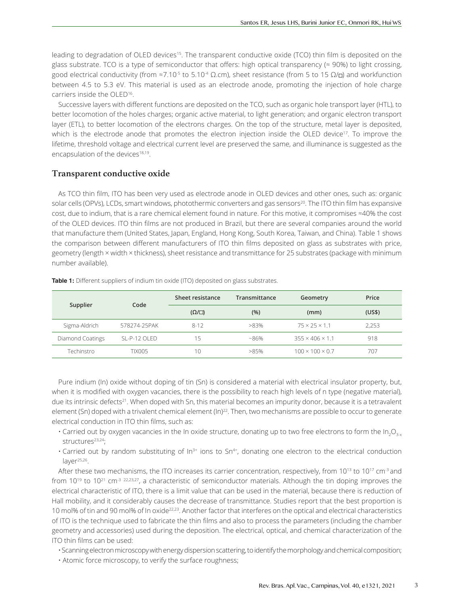leading to degradation of OLED devices15. The transparent conductive oxide (TCO) thin film is deposited on the glass substrate. TCO is a type of semiconductor that offers: high optical transparency ( $\approx$  90%) to light crossing, good electrical conductivity (from  $\approx$ 7.10<sup>-5</sup> to 5.10<sup>-4</sup> Ω.cm), sheet resistance (from 5 to 15 Ω/□) and workfunction between 4.5 to 5.3 eV. This material is used as an electrode anode, promoting the injection of hole charge carriers inside the OLED16.

Successive layers with different functions are deposited on the TCO, such as organic hole transport layer (HTL), to better locomotion of the holes charges; organic active material, to light generation; and organic electron transport layer (ETL), to better locomotion of the electrons charges. On the top of the structure, metal layer is deposited, which is the electrode anode that promotes the electron injection inside the OLED device<sup>17</sup>. To improve the lifetime, threshold voltage and electrical current level are preserved the same, and illuminance is suggested as the encapsulation of the devices<sup>18,19</sup>.

# **Transparent conductive oxide**

As TCO thin film, ITO has been very used as electrode anode in OLED devices and other ones, such as: organic solar cells (OPVs), LCDs, smart windows, photothermic converters and gas sensors<sup>20</sup>. The ITO thin film has expansive cost, due to indium, that is a rare chemical element found in nature. For this motive, it compromises ≈40% the cost of the OLED devices. ITO thin films are not produced in Brazil, but there are several companies around the world that manufacture them (United States, Japan, England, Hong Kong, South Korea, Taiwan, and China). Table 1 shows the comparison between different manufacturers of ITO thin films deposited on glass as substrates with price, geometry (length × width × thickness), sheet resistance and transmittance for 25 substrates (package with minimum number available).

| Supplier         | Code                | Sheet resistance   | Transmittance | Geometry                    | Price  |
|------------------|---------------------|--------------------|---------------|-----------------------------|--------|
|                  |                     | $(\Omega/\square)$ | (%)           | (mm)                        | (US\$) |
| Sigma-Aldrich    | 578274-25PAK        | $8 - 12$           | $>83\%$       | $75 \times 25 \times 1.1$   | 2.253  |
| Diamond Coatings | $SI - P - 12$ OI FD | 15                 | $~86\%$       | $355 \times 406 \times 1.1$ | 918    |
| Techinstro       | <b>TIX005</b>       | 10                 | >85%          | $100 \times 100 \times 0.7$ | 707    |

**Table 1:** Different suppliers of indium tin oxide (ITO) deposited on glass substrates.

Pure indium (In) oxide without doping of tin (Sn) is considered a material with electrical insulator property, but, when it is modified with oxygen vacancies, there is the possibility to reach high levels of n type (negative material), due its intrinsic defects<sup>21</sup>. When doped with Sn, this material becomes an impurity donor, because it is a tetravalent element (Sn) doped with a trivalent chemical element (In)<sup>22</sup>. Then, two mechanisms are possible to occur to generate electrical conduction in ITO thin films, such as:

- Carried out by oxygen vacancies in the In oxide structure, donating up to two free electrons to form the In<sub>2</sub>O<sub>3-x</sub> structures<sup>23,24</sup>;
- $\cdot$  Carried out by random substituting of In<sup>3+</sup> ions to Sn<sup>4+</sup>, donating one electron to the electrical conduction  $l$ aver<sup>25,26</sup>.

After these two mechanisms, the ITO increases its carrier concentration, respectively, from  $10^{13}$  to  $10^{17}$  cm<sup>-3</sup> and from 10<sup>19</sup> to 10<sup>21</sup> cm<sup>-3 22,23,27</sup>, a characteristic of semiconductor materials. Although the tin doping improves the electrical characteristic of ITO, there is a limit value that can be used in the material, because there is reduction of Hall mobility, and it considerably causes the decrease of transmittance. Studies report that the best proportion is 10 mol% of tin and 90 mol% of In oxide22,23. Another factor that interferes on the optical and electrical characteristics of ITO is the technique used to fabricate the thin films and also to process the parameters (including the chamber geometry and accessories) used during the deposition. The electrical, optical, and chemical characterization of the ITO thin films can be used:

• Scanning electron microscopy with energy dispersion scattering, to identify the morphology and chemical composition;

• Atomic force microscopy, to verify the surface roughness;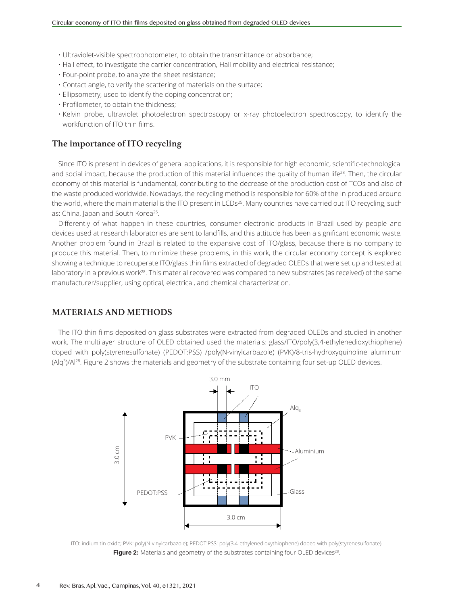- Ultraviolet-visible spectrophotometer, to obtain the transmittance or absorbance;
- Hall effect, to investigate the carrier concentration, Hall mobility and electrical resistance;
- Four-point probe, to analyze the sheet resistance;
- Contact angle, to verify the scattering of materials on the surface;
- Ellipsometry, used to identify the doping concentration;
- Profilometer, to obtain the thickness;
- Kelvin probe, ultraviolet photoelectron spectroscopy or x-ray photoelectron spectroscopy, to identify the workfunction of ITO thin films.

# **The importance of ITO recycling**

Since ITO is present in devices of general applications, it is responsible for high economic, scientific-technological and social impact, because the production of this material influences the quality of human life<sup>23</sup>. Then, the circular economy of this material is fundamental, contributing to the decrease of the production cost of TCOs and also of the waste produced worldwide. Nowadays, the recycling method is responsible for 60% of the In produced around the world, where the main material is the ITO present in LCDs<sup>25</sup>. Many countries have carried out ITO recycling, such as: China, Japan and South Korea<sup>25</sup>.

Differently of what happen in these countries, consumer electronic products in Brazil used by people and devices used at research laboratories are sent to landfills, and this attitude has been a significant economic waste. Another problem found in Brazil is related to the expansive cost of ITO/glass, because there is no company to produce this material. Then, to minimize these problems, in this work, the circular economy concept is explored showing a technique to recuperate ITO/glass thin films extracted of degraded OLEDs that were set up and tested at laboratory in a previous work<sup>28</sup>. This material recovered was compared to new substrates (as received) of the same manufacturer/supplier, using optical, electrical, and chemical characterization.

# **MATERIALS AND METHODS**

The ITO thin films deposited on glass substrates were extracted from degraded OLEDs and studied in another work. The multilayer structure of OLED obtained used the materials: glass/ITO/poly(3,4-ethylenedioxythiophene) doped with poly(styrenesulfonate) (PEDOT:PSS) /poly(N-vinylcarbazole) (PVK)/8-tris-hydroxyquinoline aluminum (Alq3)/Al28. Figure 2 shows the materials and geometry of the substrate containing four set-up OLED devices.



ITO: indium tin oxide; PVK: poly(N-vinylcarbazole); PEDOT:PSS: poly(3,4-ethylenedioxythiophene) doped with poly(styrenesulfonate). **Figure 2:** Materials and geometry of the substrates containing four OLED devices<sup>28</sup>.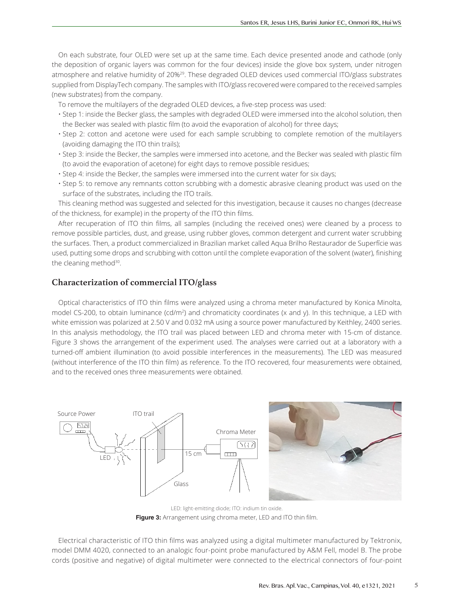On each substrate, four OLED were set up at the same time. Each device presented anode and cathode (only the deposition of organic layers was common for the four devices) inside the glove box system, under nitrogen atmosphere and relative humidity of 20%29. These degraded OLED devices used commercial ITO/glass substrates supplied from DisplayTech company. The samples with ITO/glass recovered were compared to the received samples (new substrates) from the company.

To remove the multilayers of the degraded OLED devices, a five-step process was used:

- Step 1: inside the Becker glass, the samples with degraded OLED were immersed into the alcohol solution, then the Becker was sealed with plastic film (to avoid the evaporation of alcohol) for three days;
- Step 2: cotton and acetone were used for each sample scrubbing to complete remotion of the multilayers (avoiding damaging the ITO thin trails);
- Step 3: inside the Becker, the samples were immersed into acetone, and the Becker was sealed with plastic film (to avoid the evaporation of acetone) for eight days to remove possible residues;
- Step 4: inside the Becker, the samples were immersed into the current water for six days;
- Step 5: to remove any remnants cotton scrubbing with a domestic abrasive cleaning product was used on the surface of the substrates, including the ITO trails.

This cleaning method was suggested and selected for this investigation, because it causes no changes (decrease of the thickness, for example) in the property of the ITO thin films.

After recuperation of ITO thin films, all samples (including the received ones) were cleaned by a process to remove possible particles, dust, and grease, using rubber gloves, common detergent and current water scrubbing the surfaces. Then, a product commercialized in Brazilian market called Aqua Brilho Restaurador de Superfície was used, putting some drops and scrubbing with cotton until the complete evaporation of the solvent (water), finishing the cleaning method<sup>30</sup>.

# **Characterization of commercial ITO/glass**

Optical characteristics of ITO thin films were analyzed using a chroma meter manufactured by Konica Minolta, model CS-200, to obtain luminance (cd/m<sup>2</sup>) and chromaticity coordinates (x and y). In this technique, a LED with white emission was polarized at 2.50 V and 0.032 mA using a source power manufactured by Keithley, 2400 series. In this analysis methodology, the ITO trail was placed between LED and chroma meter with 15-cm of distance. Figure 3 shows the arrangement of the experiment used. The analyses were carried out at a laboratory with a turned-off ambient illumination (to avoid possible interferences in the measurements). The LED was measured (without interference of the ITO thin film) as reference. To the ITO recovered, four measurements were obtained, and to the received ones three measurements were obtained.





LED: light-emitting diode; ITO: indium tin oxide. **Figure 3:** Arrangement using chroma meter, LED and ITO thin film.

Electrical characteristic of ITO thin films was analyzed using a digital multimeter manufactured by Tektronix, model DMM 4020, connected to an analogic four-point probe manufactured by A&M Fell, model B. The probe cords (positive and negative) of digital multimeter were connected to the electrical connectors of four-point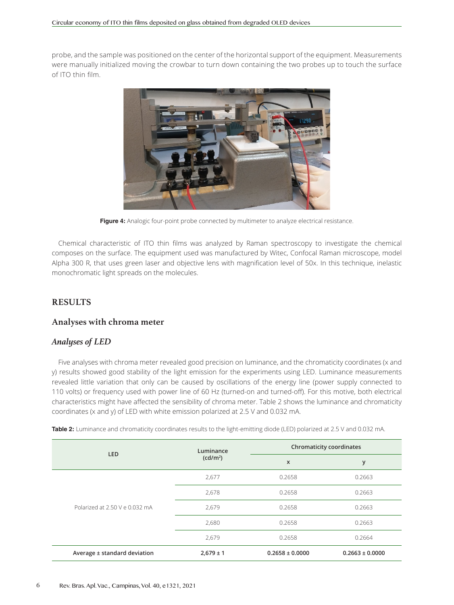probe, and the sample was positioned on the center of the horizontal support of the equipment. Measurements were manually initialized moving the crowbar to turn down containing the two probes up to touch the surface of ITO thin film.



Figure 4: Analogic four-point probe connected by multimeter to analyze electrical resistance.

Chemical characteristic of ITO thin films was analyzed by Raman spectroscopy to investigate the chemical composes on the surface. The equipment used was manufactured by Witec, Confocal Raman microscope, model Alpha 300 R, that uses green laser and objective lens with magnification level of 50x. In this technique, inelastic monochromatic light spreads on the molecules.

# **RESULTS**

#### **Analyses with chroma meter**

#### *Analyses of LED*

Five analyses with chroma meter revealed good precision on luminance, and the chromaticity coordinates (x and y) results showed good stability of the light emission for the experiments using LED. Luminance measurements revealed little variation that only can be caused by oscillations of the energy line (power supply connected to 110 volts) or frequency used with power line of 60 Hz (turned-on and turned-off). For this motive, both electrical characteristics might have affected the sensibility of chroma meter. Table 2 shows the luminance and chromaticity coordinates (x and y) of LED with white emission polarized at 2.5 V and 0.032 mA.

**Table 2:** Luminance and chromaticity coordinates results to the light-emitting diode (LED) polarized at 2.5 V and 0.032 mA.

| <b>LED</b>                     | Luminance            | <b>Chromaticity coordinates</b> |                     |  |
|--------------------------------|----------------------|---------------------------------|---------------------|--|
|                                | (cd/m <sup>2</sup> ) | X                               | у                   |  |
|                                | 2,677                | 0.2658                          | 0.2663              |  |
|                                | 2,678                | 0.2658                          | 0.2663              |  |
| Polarized at 2.50 V e 0.032 mA | 2,679                | 0.2658                          | 0.2663              |  |
|                                | 2,680                | 0.2658                          | 0.2663              |  |
|                                | 2,679                | 0.2658                          | 0.2664              |  |
| Average ± standard deviation   | $2,679 \pm 1$        | $0.2658 \pm 0.0000$             | $0.2663 \pm 0.0000$ |  |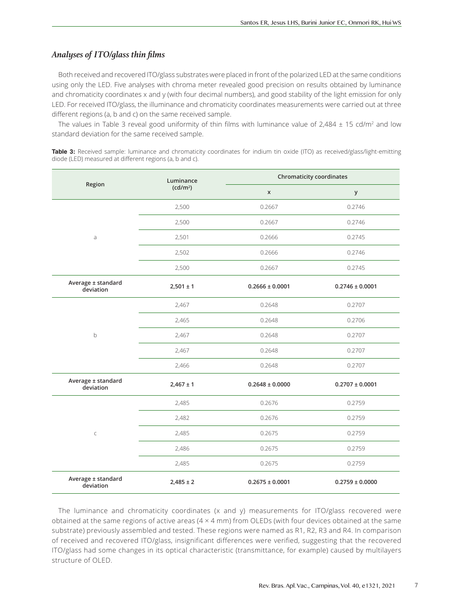# *Analyses of ITO/glass thin films*

Both received and recovered ITO/glass substrates were placed in front of the polarized LED at the same conditions using only the LED. Five analyses with chroma meter revealed good precision on results obtained by luminance and chromaticity coordinates x and y (with four decimal numbers), and good stability of the light emission for only LED. For received ITO/glass, the illuminance and chromaticity coordinates measurements were carried out at three different regions (a, b and c) on the same received sample.

The values in Table 3 reveal good uniformity of thin films with luminance value of  $2,484 \pm 15$  cd/m<sup>2</sup> and low standard deviation for the same received sample.

**Table 3:** Received sample: luminance and chromaticity coordinates for indium tin oxide (ITO) as received/glass/light-emitting diode (LED) measured at different regions (a, b and c).

| Region                          | Luminance<br>(cd/m <sup>2</sup> ) | <b>Chromaticity coordinates</b> |                     |  |
|---------------------------------|-----------------------------------|---------------------------------|---------------------|--|
|                                 |                                   | $\pmb{\mathsf{X}}$              | у                   |  |
|                                 | 2,500                             | 0.2667                          | 0.2746              |  |
|                                 | 2,500                             | 0.2667                          | 0.2746              |  |
| a                               | 2,501                             | 0.2666                          | 0.2745              |  |
|                                 | 2,502                             | 0.2666                          | 0.2746              |  |
|                                 | 2,500                             | 0.2667                          | 0.2745              |  |
| Average ± standard<br>deviation | $2,501 \pm 1$                     | $0.2666 \pm 0.0001$             | $0.2746 \pm 0.0001$ |  |
|                                 | 2,467                             | 0.2648                          | 0.2707              |  |
|                                 | 2,465                             | 0.2648                          | 0.2706              |  |
| $\mathsf b$                     | 2,467                             | 0.2648                          | 0.2707              |  |
|                                 | 2,467                             | 0.2648                          | 0.2707              |  |
|                                 | 2,466                             | 0.2648                          | 0.2707              |  |
| Average ± standard<br>deviation | $2,467 \pm 1$                     | $0.2648 \pm 0.0000$             | $0.2707 \pm 0.0001$ |  |
|                                 | 2,485                             | 0.2676                          | 0.2759              |  |
|                                 | 2,482                             | 0.2676                          | 0.2759              |  |
| $\mathsf C$                     | 2,485                             | 0.2675                          | 0.2759              |  |
|                                 | 2,486                             | 0.2675                          | 0.2759              |  |
|                                 | 2,485                             | 0.2675                          | 0.2759              |  |
| Average ± standard<br>deviation | $2,485 \pm 2$                     | $0.2675 \pm 0.0001$             | $0.2759 \pm 0.0000$ |  |

The luminance and chromaticity coordinates (x and y) measurements for ITO/glass recovered were obtained at the same regions of active areas ( $4 \times 4$  mm) from OLEDs (with four devices obtained at the same substrate) previously assembled and tested. These regions were named as R1, R2, R3 and R4. In comparison of received and recovered ITO/glass, insignificant differences were verified, suggesting that the recovered ITO/glass had some changes in its optical characteristic (transmittance, for example) caused by multilayers structure of OLED.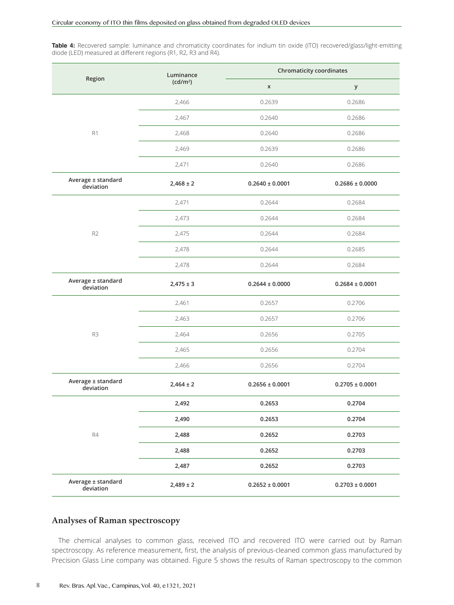Table 4: Recovered sample: luminance and chromaticity coordinates for indium tin oxide (ITO) recovered/glass/light-emitting diode (LED) measured at different regions (R1, R2, R3 and R4).

|                                 | Luminance            | <b>Chromaticity coordinates</b> |                     |  |
|---------------------------------|----------------------|---------------------------------|---------------------|--|
| Region                          | (cd/m <sup>2</sup> ) | $\pmb{\mathsf{X}}$              | у                   |  |
|                                 | 2,466                | 0.2639                          | 0.2686              |  |
|                                 | 2,467                | 0.2640                          | 0.2686              |  |
| R <sub>1</sub>                  | 2,468                | 0.2640                          | 0.2686              |  |
|                                 | 2,469                | 0.2639                          | 0.2686              |  |
|                                 | 2,471                | 0.2640                          | 0.2686              |  |
| Average ± standard<br>deviation | $2,468 \pm 2$        | $0.2640 \pm 0.0001$             | $0.2686 \pm 0.0000$ |  |
|                                 | 2,471                | 0.2644                          | 0.2684              |  |
|                                 | 2,473                | 0.2644                          | 0.2684              |  |
| R2                              | 2,475                | 0.2644                          | 0.2684              |  |
|                                 | 2,478                | 0.2644                          | 0.2685              |  |
|                                 | 2,478                | 0.2644                          | 0.2684              |  |
| Average ± standard<br>deviation | $2,475 \pm 3$        | $0.2644 \pm 0.0000$             | $0.2684 \pm 0.0001$ |  |
|                                 | 2,461                | 0.2657                          | 0.2706              |  |
|                                 | 2,463                | 0.2657                          | 0.2706              |  |
| R3                              | 2,464                | 0.2656                          | 0.2705              |  |
|                                 | 2,465                | 0.2656                          | 0.2704              |  |
|                                 | 2,466                | 0.2656                          | 0.2704              |  |
| Average ± standard<br>deviation | $2,464 \pm 2$        | $0.2656 \pm 0.0001$             | $0.2705 \pm 0.0001$ |  |
|                                 | 2,492                | 0.2653                          | 0.2704              |  |
|                                 | 2,490                | 0.2653                          | 0.2704              |  |
| R4                              | 2,488                | 0.2652                          | 0.2703              |  |
|                                 | 2,488                | 0.2652                          | 0.2703              |  |
|                                 | 2,487                | 0.2652                          | 0.2703              |  |
| Average ± standard<br>deviation | $2,489 \pm 2$        | $0.2652 \pm 0.0001$             | $0.2703 \pm 0.0001$ |  |

#### **Analyses of Raman spectroscopy**

The chemical analyses to common glass, received ITO and recovered ITO were carried out by Raman spectroscopy. As reference measurement, first, the analysis of previous-cleaned common glass manufactured by Precision Glass Line company was obtained. Figure 5 shows the results of Raman spectroscopy to the common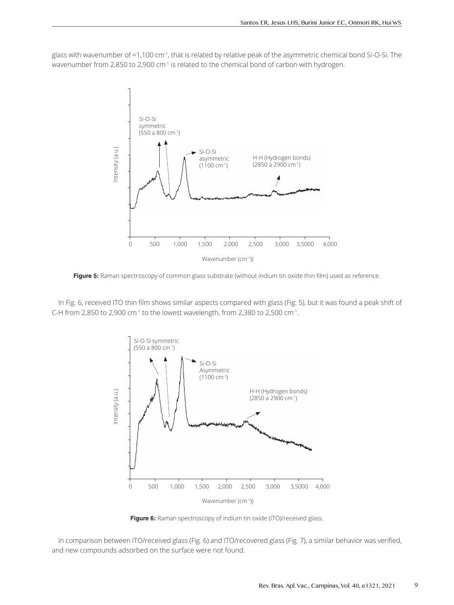glass with wavenumber of ≈1,100 cm-1, that is related by relative peak of the asymmetric chemical bond Si-O-Si. The wavenumber from 2,850 to 2,900 cm<sup>-1</sup> is related to the chemical bond of carbon with hydrogen.



**Figure 5:** Raman spectroscopy of common glass substrate (without indium tin oxide thin film) used as reference.

In Fig. 6, received ITO thin film shows similar aspects compared with glass (Fig. 5), but it was found a peak shift of C-H from 2,850 to 2,900 cm<sup>-1</sup> to the lowest wavelength, from 2,380 to 2,500 cm<sup>-1</sup>.



Figure 6: Raman spectroscopy of indium tin oxide (ITO)/received glass.

In comparison between ITO/received glass (Fig. 6) and ITO/recovered glass (Fig. 7), a similar behavior was verified, and new compounds adsorbed on the surface were not found.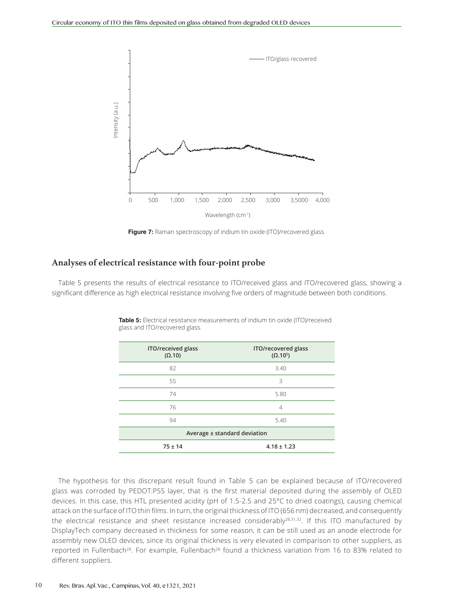

**Figure 7:** Raman spectroscopy of indium tin oxide (ITO)/recovered glass.

#### **Analyses of electrical resistance with four-point probe**

Table 5 presents the results of electrical resistance to ITO/received glass and ITO/recovered glass, showing a significant difference as high electrical resistance involving five orders of magnitude between both conditions.

| ITO/received glass<br>$(\Omega.10)$ | ITO/recovered glass<br>$(\Omega.10^5)$ |  |
|-------------------------------------|----------------------------------------|--|
| 82                                  | 3.40                                   |  |
| 55                                  | 3                                      |  |
| 74                                  | 5.80                                   |  |
| 76                                  | 4                                      |  |
| 94                                  | 5.40                                   |  |
| Average ± standard deviation        |                                        |  |
| $75 \pm 14$                         | $4.18 \pm 1.23$                        |  |

**Table 5:** Electrical resistance measurements of indium tin oxide (ITO)/received glass and ITO/recovered glass.

The hypothesis for this discrepant result found in Table 5 can be explained because of ITO/recovered glass was corroded by PEDOT:PSS layer, that is the first material deposited during the assembly of OLED devices. In this case, this HTL presented acidity (pH of 1.5-2.5 and 25°C to dried coatings), causing chemical attack on the surface of ITO thin films. In turn, the original thickness of ITO (656 nm) decreased, and consequently the electrical resistance and sheet resistance increased considerably<sup>28,31,32</sup>. If this ITO manufactured by DisplayTech company decreased in thickness for some reason, it can be still used as an anode electrode for assembly new OLED devices, since its original thickness is very elevated in comparison to other suppliers, as reported in Fullenbach<sup>28</sup>. For example, Fullenbach<sup>28</sup> found a thickness variation from 16 to 83% related to different suppliers.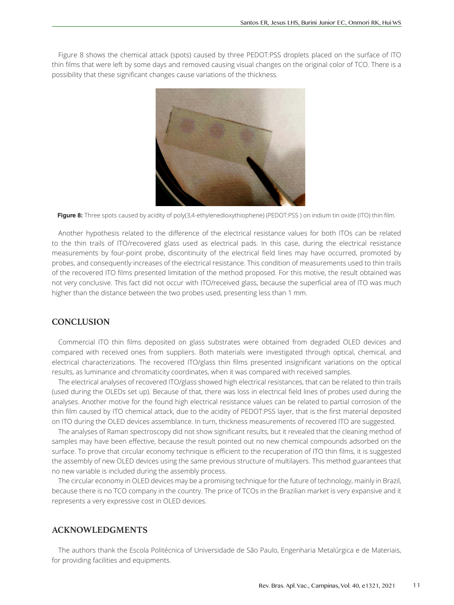Figure 8 shows the chemical attack (spots) caused by three PEDOT:PSS droplets placed on the surface of ITO thin films that were left by some days and removed causing visual changes on the original color of TCO. There is a possibility that these significant changes cause variations of the thickness.



**Figure 8:** Three spots caused by acidity of poly(3,4-ethylenedioxythiophene) (PEDOT:PSS ) on indium tin oxide (ITO) thin film.

Another hypothesis related to the difference of the electrical resistance values for both ITOs can be related to the thin trails of ITO/recovered glass used as electrical pads. In this case, during the electrical resistance measurements by four-point probe, discontinuity of the electrical field lines may have occurred, promoted by probes, and consequently increases of the electrical resistance. This condition of measurements used to thin trails of the recovered ITO films presented limitation of the method proposed. For this motive, the result obtained was not very conclusive. This fact did not occur with ITO/received glass, because the superficial area of ITO was much higher than the distance between the two probes used, presenting less than 1 mm.

# **CONCLUSION**

Commercial ITO thin films deposited on glass substrates were obtained from degraded OLED devices and compared with received ones from suppliers. Both materials were investigated through optical, chemical, and electrical characterizations. The recovered ITO/glass thin films presented insignificant variations on the optical results, as luminance and chromaticity coordinates, when it was compared with received samples.

The electrical analyses of recovered ITO/glass showed high electrical resistances, that can be related to thin trails (used during the OLEDs set up). Because of that, there was loss in electrical field lines of probes used during the analyses. Another motive for the found high electrical resistance values can be related to partial corrosion of the thin film caused by ITO chemical attack, due to the acidity of PEDOT:PSS layer, that is the first material deposited on ITO during the OLED devices assemblance. In turn, thickness measurements of recovered ITO are suggested.

The analyses of Raman spectroscopy did not show significant results, but it revealed that the cleaning method of samples may have been effective, because the result pointed out no new chemical compounds adsorbed on the surface. To prove that circular economy technique is efficient to the recuperation of ITO thin films, it is suggested the assembly of new OLED devices using the same previous structure of multilayers. This method guarantees that no new variable is included during the assembly process.

The circular economy in OLED devices may be a promising technique for the future of technology, mainly in Brazil, because there is no TCO company in the country. The price of TCOs in the Brazilian market is very expansive and it represents a very expressive cost in OLED devices.

#### **ACKNOWLEDGMENTS**

The authors thank the Escola Politécnica of Universidade de São Paulo, Engenharia Metalúrgica e de Materiais, for providing facilities and equipments.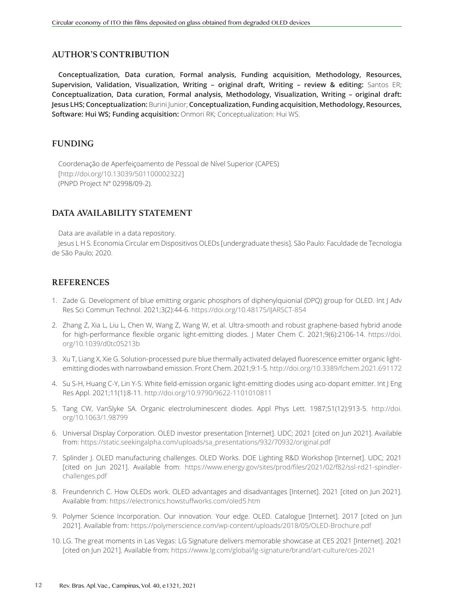# **AUTHOR'S CONTRIBUTION**

**Conceptualization, Data curation, Formal analysis, Funding acquisition, Methodology, Resources, Supervision, Validation, Visualization, Writing – original draft, Writing – review & editing:** Santos ER; **Conceptualization, Data curation, Formal analysis, Methodology, Visualization, Writing – original draft: Jesus LHS; Conceptualization:** Burini Junior; **Conceptualization, Funding acquisition, Methodology, Resources, Software: Hui WS; Funding acquisition:** Onmori RK; Conceptualization: Hui WS.

# **FUNDING**

Coordenação de Aperfeiçoamento de Pessoal de Nível Superior (CAPES) [http://doi.org/10.13039/501100002322] (PNPD Project N° 02998/09-2).

# **DATA AVAILABILITY STATEMENT**

Data are available in a data repository.

Jesus L H S. Economia Circular em Dispositivos OLEDs [undergraduate thesis]. São Paulo: Faculdade de Tecnologia de São Paulo; 2020.

# **REFERENCES**

- 1. Zade G. Development of blue emitting organic phosphors of diphenylquionial (DPQ) group for OLED. Int J Adv Res Sci Commun Technol. 2021;3(2):44-6. https://doi.org/10.48175/IJARSCT-854
- 2. Zhang Z, Xia L, Liu L, Chen W, Wang Z, Wang W, et al. Ultra-smooth and robust graphene-based hybrid anode for high-performance flexible organic light-emitting diodes. J Mater Chem C. 2021;9(6):2106-14. https://doi. org/10.1039/d0tc05213b
- 3. Xu T, Liang X, Xie G. Solution-processed pure blue thermally activated delayed fluorescence emitter organic lightemitting diodes with narrowband emission. Front Chem. 2021;9:1-5. http://doi.org/10.3389/fchem.2021.691172
- 4. Su S-H, Huang C-Y, Lin Y-S. White field-emission organic light-emitting diodes using aco-dopant emitter. Int J Eng Res Appl. 2021;11(1):8-11. http://doi.org/10.9790/9622-1101010811
- 5. Tang CW, VanSlyke SA. Organic electroluminescent diodes. Appl Phys Lett. 1987;51(12):913-5. http://doi. org/10.1063/1.98799
- 6. Universal Display Corporation. OLED investor presentation [Internet]. UDC; 2021 [cited on Jun 2021]. Available from: https://static.seekingalpha.com/uploads/sa\_presentations/932/70932/original.pdf
- 7. Splinder J. OLED manufacturing challenges. OLED Works. DOE Lighting R&D Workshop [Internet]. UDC; 2021 [cited on Jun 2021]. Available from: https://www.energy.gov/sites/prod/files/2021/02/f82/ssl-rd21-spindlerchallenges.pdf
- 8. Freundenrich C. How OLEDs work. OLED advantages and disadvantages [Internet]. 2021 [cited on Jun 2021]. Available from: https://electronics.howstuffworks.com/oled5.htm
- 9. Polymer Science Incorporation. Our innovation. Your edge. OLED. Catalogue [Internet]. 2017 [cited on Jun 2021]. Available from: https://polymerscience.com/wp-content/uploads/2018/05/OLED-Brochure.pdf
- 10. LG. The great moments in Las Vegas: LG Signature delivers memorable showcase at CES 2021 [Internet]. 2021 [cited on Jun 2021]. Available from: https://www.lg.com/global/lg-signature/brand/art-culture/ces-2021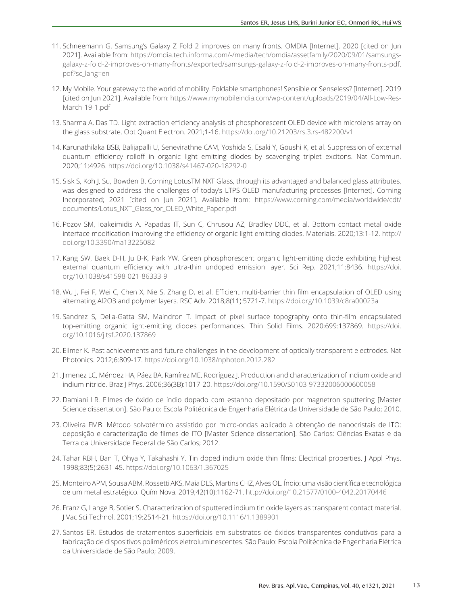- 11. Schneemann G. Samsung's Galaxy Z Fold 2 improves on many fronts. OMDIA [Internet]. 2020 [cited on Jun 2021]. Available from: https://omdia.tech.informa.com/-/media/tech/omdia/assetfamily/2020/09/01/samsungsgalaxy-z-fold-2-improves-on-many-fronts/exported/samsungs-galaxy-z-fold-2-improves-on-many-fronts-pdf. pdf?sc\_lang=en
- 12. My Mobile. Your gateway to the world of mobility. Foldable smartphones! Sensible or Senseless? [Internet]. 2019 [cited on Jun 2021]. Available from: https://www.mymobileindia.com/wp-content/uploads/2019/04/All-Low-Res-March-19-1.pdf
- 13. Sharma A, Das TD. Light extraction efficiency analysis of phosphorescent OLED device with microlens array on the glass substrate. Opt Quant Electron. 2021;1-16. https://doi.org/10.21203/rs.3.rs-482200/v1
- 14. Karunathilaka BSB, Balijapalli U, Senevirathne CAM, Yoshida S, Esaki Y, Goushi K, et al. Suppression of external quantum efficiency rolloff in organic light emitting diodes by scavenging triplet excitons. Nat Commun. 2020;11:4926. https://doi.org/10.1038/s41467-020-18292-0
- 15. Sisk S, Koh J, Su, Bowden B. Corning LotusTM NXT Glass, through its advantaged and balanced glass attributes, was designed to address the challenges of today's LTPS-OLED manufacturing processes [Internet]. Corning Incorporated; 2021 [cited on Jun 2021]. Available from: https://www.corning.com/media/worldwide/cdt/ documents/Lotus\_NXT\_Glass\_for\_OLED\_White\_Paper.pdf
- 16. Pozov SM, Ioakeimidis A, Papadas IT, Sun C, Chrusou AZ, Bradley DDC, et al. Bottom contact metal oxide interface modification improving the efficiency of organic light emitting diodes. Materials. 2020;13:1-12. http:// doi.org/10.3390/ma13225082
- 17. Kang SW, Baek D-H, Ju B-K, Park YW. Green phosphorescent organic light‑emitting diode exhibiting highest external quantum efficiency with ultra-thin undoped emission layer. Sci Rep. 2021;11:8436. https://doi. org/10.1038/s41598-021-86333-9
- 18. Wu J, Fei F, Wei C, Chen X, Nie S, Zhang D, et al. Efficient multi-barrier thin film encapsulation of OLED using alternating Al2O3 and polymer layers. RSC Adv. 2018;8(11):5721-7. https://doi.org/10.1039/c8ra00023a
- 19. Sandrez S, Della-Gatta SM, Maindron T. Impact of pixel surface topography onto thin-film encapsulated top-emitting organic light-emitting diodes performances. Thin Solid Films. 2020;699:137869. https://doi. org/10.1016/j.tsf.2020.137869
- 20. Ellmer K. Past achievements and future challenges in the development of optically transparent electrodes. Nat Photonics. 2012;6:809-17. https://doi.org/10.1038/nphoton.2012.282
- 21. Jimenez LC, Méndez HA, Páez BA, Ramírez ME, Rodríguez J. Production and characterization of indium oxide and indium nitride. Braz J Phys. 2006;36(3B):1017-20. https://doi.org/10.1590/S0103-97332006000600058
- 22. Damiani LR. Filmes de óxido de índio dopado com estanho depositado por magnetron sputtering [Master Science dissertation]. São Paulo: Escola Politécnica de Engenharia Elétrica da Universidade de São Paulo; 2010.
- 23. Oliveira FMB. Método solvotérmico assistido por micro-ondas aplicado à obtenção de nanocristais de ITO: deposição e caracterização de filmes de ITO [Master Science dissertation]. São Carlos: Ciências Exatas e da Terra da Universidade Federal de São Carlos; 2012.
- 24. Tahar RBH, Ban T, Ohya Y, Takahashi Y. Tin doped indium oxide thin films: Electrical properties. J Appl Phys. 1998;83(5):2631-45. https://doi.org/10.1063/1.367025
- 25. Monteiro APM, Sousa ABM, Rossetti AKS, Maia DLS, Martins CHZ, Alves OL. Índio: uma visão científica e tecnológica de um metal estratégico. Quím Nova. 2019;42(10):1162-71. http://doi.org/10.21577/0100-4042.20170446
- 26. Franz G, Lange B, Sotier S. Characterization of sputtered indium tin oxide layers as transparent contact material. J Vac Sci Technol. 2001;19:2514-21. https://doi.org/10.1116/1.1389901
- 27. Santos ER. Estudos de tratamentos superficiais em substratos de óxidos transparentes condutivos para a fabricação de dispositivos poliméricos eletroluminescentes. São Paulo: Escola Politécnica de Engenharia Elétrica da Universidade de São Paulo; 2009.